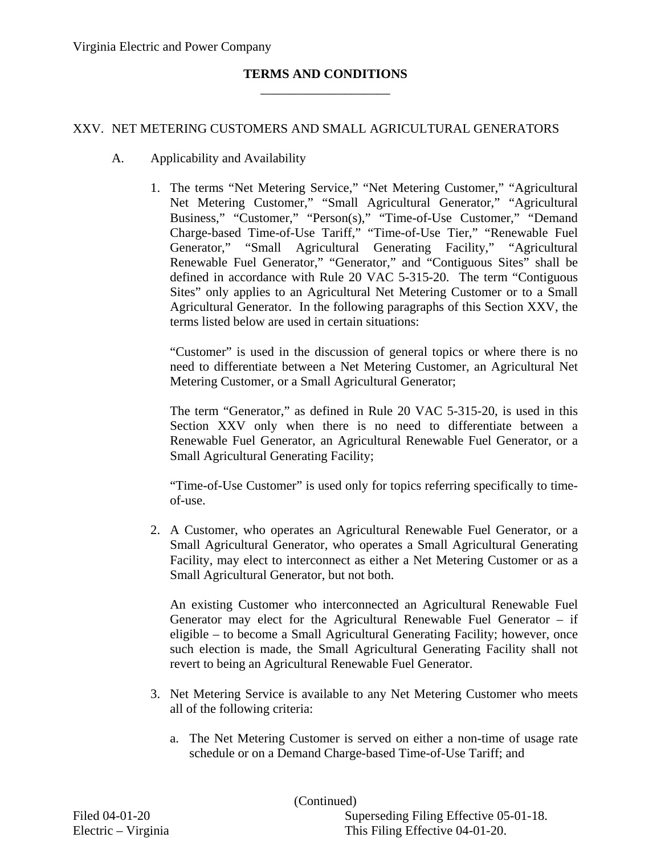#### XXV. NET METERING CUSTOMERS AND SMALL AGRICULTURAL GENERATORS

- A. Applicability and Availability
	- 1. The terms "Net Metering Service," "Net Metering Customer," "Agricultural Net Metering Customer," "Small Agricultural Generator," "Agricultural Business," "Customer," "Person(s)," "Time-of-Use Customer," "Demand Charge-based Time-of-Use Tariff," "Time-of-Use Tier," "Renewable Fuel Generator," "Small Agricultural Generating Facility," "Agricultural Renewable Fuel Generator," "Generator," and "Contiguous Sites" shall be defined in accordance with Rule 20 VAC 5-315-20. The term "Contiguous Sites" only applies to an Agricultural Net Metering Customer or to a Small Agricultural Generator. In the following paragraphs of this Section XXV, the terms listed below are used in certain situations:

"Customer" is used in the discussion of general topics or where there is no need to differentiate between a Net Metering Customer, an Agricultural Net Metering Customer, or a Small Agricultural Generator;

The term "Generator," as defined in Rule 20 VAC 5-315-20, is used in this Section XXV only when there is no need to differentiate between a Renewable Fuel Generator, an Agricultural Renewable Fuel Generator, or a Small Agricultural Generating Facility;

"Time-of-Use Customer" is used only for topics referring specifically to timeof-use.

2. A Customer, who operates an Agricultural Renewable Fuel Generator, or a Small Agricultural Generator, who operates a Small Agricultural Generating Facility, may elect to interconnect as either a Net Metering Customer or as a Small Agricultural Generator, but not both.

An existing Customer who interconnected an Agricultural Renewable Fuel Generator may elect for the Agricultural Renewable Fuel Generator – if eligible – to become a Small Agricultural Generating Facility; however, once such election is made, the Small Agricultural Generating Facility shall not revert to being an Agricultural Renewable Fuel Generator.

- 3. Net Metering Service is available to any Net Metering Customer who meets all of the following criteria:
	- a. The Net Metering Customer is served on either a non-time of usage rate schedule or on a Demand Charge-based Time-of-Use Tariff; and

(Continued)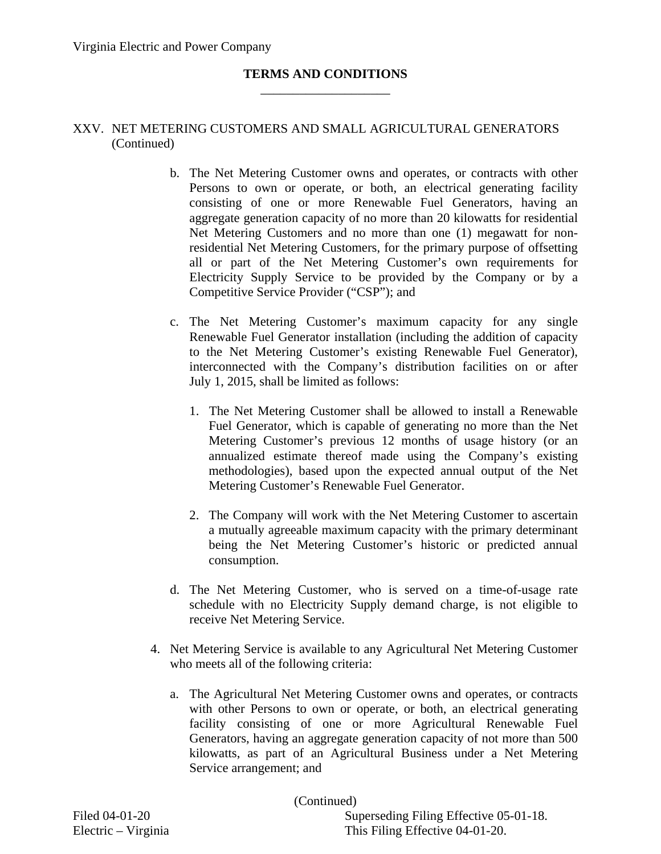## XXV. NET METERING CUSTOMERS AND SMALL AGRICULTURAL GENERATORS (Continued)

- b. The Net Metering Customer owns and operates, or contracts with other Persons to own or operate, or both, an electrical generating facility consisting of one or more Renewable Fuel Generators, having an aggregate generation capacity of no more than 20 kilowatts for residential Net Metering Customers and no more than one (1) megawatt for nonresidential Net Metering Customers, for the primary purpose of offsetting all or part of the Net Metering Customer's own requirements for Electricity Supply Service to be provided by the Company or by a Competitive Service Provider ("CSP"); and
- c. The Net Metering Customer's maximum capacity for any single Renewable Fuel Generator installation (including the addition of capacity to the Net Metering Customer's existing Renewable Fuel Generator), interconnected with the Company's distribution facilities on or after July 1, 2015, shall be limited as follows:
	- 1. The Net Metering Customer shall be allowed to install a Renewable Fuel Generator, which is capable of generating no more than the Net Metering Customer's previous 12 months of usage history (or an annualized estimate thereof made using the Company's existing methodologies), based upon the expected annual output of the Net Metering Customer's Renewable Fuel Generator.
	- 2. The Company will work with the Net Metering Customer to ascertain a mutually agreeable maximum capacity with the primary determinant being the Net Metering Customer's historic or predicted annual consumption.
- d. The Net Metering Customer, who is served on a time-of-usage rate schedule with no Electricity Supply demand charge, is not eligible to receive Net Metering Service.
- 4. Net Metering Service is available to any Agricultural Net Metering Customer who meets all of the following criteria:
	- a. The Agricultural Net Metering Customer owns and operates, or contracts with other Persons to own or operate, or both, an electrical generating facility consisting of one or more Agricultural Renewable Fuel Generators, having an aggregate generation capacity of not more than 500 kilowatts, as part of an Agricultural Business under a Net Metering Service arrangement; and

(Continued)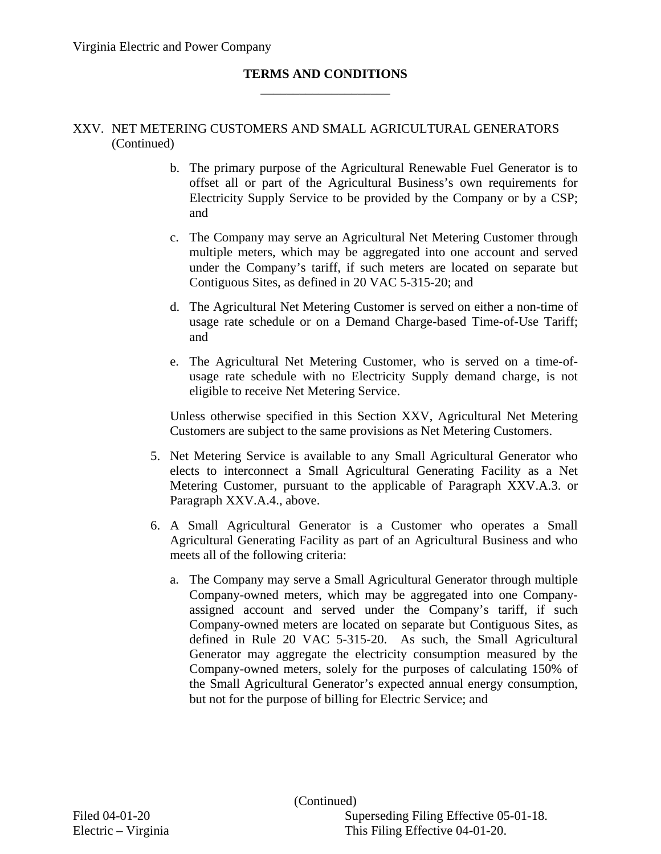## XXV. NET METERING CUSTOMERS AND SMALL AGRICULTURAL GENERATORS (Continued)

- b. The primary purpose of the Agricultural Renewable Fuel Generator is to offset all or part of the Agricultural Business's own requirements for Electricity Supply Service to be provided by the Company or by a CSP; and
- c. The Company may serve an Agricultural Net Metering Customer through multiple meters, which may be aggregated into one account and served under the Company's tariff, if such meters are located on separate but Contiguous Sites, as defined in 20 VAC 5-315-20; and
- d. The Agricultural Net Metering Customer is served on either a non-time of usage rate schedule or on a Demand Charge-based Time-of-Use Tariff; and
- e. The Agricultural Net Metering Customer, who is served on a time-ofusage rate schedule with no Electricity Supply demand charge, is not eligible to receive Net Metering Service.

Unless otherwise specified in this Section XXV, Agricultural Net Metering Customers are subject to the same provisions as Net Metering Customers.

- 5. Net Metering Service is available to any Small Agricultural Generator who elects to interconnect a Small Agricultural Generating Facility as a Net Metering Customer, pursuant to the applicable of Paragraph XXV.A.3. or Paragraph XXV.A.4., above.
- 6. A Small Agricultural Generator is a Customer who operates a Small Agricultural Generating Facility as part of an Agricultural Business and who meets all of the following criteria:
	- a. The Company may serve a Small Agricultural Generator through multiple Company-owned meters, which may be aggregated into one Companyassigned account and served under the Company's tariff, if such Company-owned meters are located on separate but Contiguous Sites, as defined in Rule 20 VAC 5-315-20. As such, the Small Agricultural Generator may aggregate the electricity consumption measured by the Company-owned meters, solely for the purposes of calculating 150% of the Small Agricultural Generator's expected annual energy consumption, but not for the purpose of billing for Electric Service; and

(Continued) Filed 04-01-20 Superseding Filing Effective 05-01-18.

Electric – Virginia This Filing Effective 04-01-20.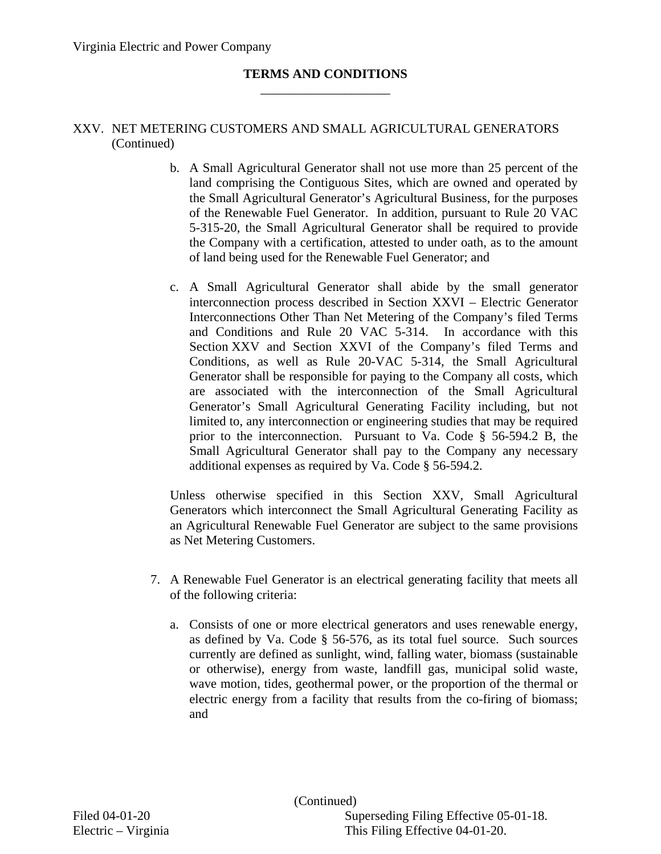## XXV. NET METERING CUSTOMERS AND SMALL AGRICULTURAL GENERATORS (Continued)

- b. A Small Agricultural Generator shall not use more than 25 percent of the land comprising the Contiguous Sites, which are owned and operated by the Small Agricultural Generator's Agricultural Business, for the purposes of the Renewable Fuel Generator. In addition, pursuant to Rule 20 VAC 5-315-20, the Small Agricultural Generator shall be required to provide the Company with a certification, attested to under oath, as to the amount of land being used for the Renewable Fuel Generator; and
- c. A Small Agricultural Generator shall abide by the small generator interconnection process described in Section XXVI – Electric Generator Interconnections Other Than Net Metering of the Company's filed Terms and Conditions and Rule 20 VAC 5-314. In accordance with this Section XXV and Section XXVI of the Company's filed Terms and Conditions, as well as Rule 20-VAC 5-314, the Small Agricultural Generator shall be responsible for paying to the Company all costs, which are associated with the interconnection of the Small Agricultural Generator's Small Agricultural Generating Facility including, but not limited to, any interconnection or engineering studies that may be required prior to the interconnection. Pursuant to Va. Code § 56-594.2 B, the Small Agricultural Generator shall pay to the Company any necessary additional expenses as required by Va. Code § 56-594.2.

Unless otherwise specified in this Section XXV, Small Agricultural Generators which interconnect the Small Agricultural Generating Facility as an Agricultural Renewable Fuel Generator are subject to the same provisions as Net Metering Customers.

- 7. A Renewable Fuel Generator is an electrical generating facility that meets all of the following criteria:
	- a. Consists of one or more electrical generators and uses renewable energy, as defined by Va. Code § 56-576, as its total fuel source. Such sources currently are defined as sunlight, wind, falling water, biomass (sustainable or otherwise), energy from waste, landfill gas, municipal solid waste, wave motion, tides, geothermal power, or the proportion of the thermal or electric energy from a facility that results from the co-firing of biomass; and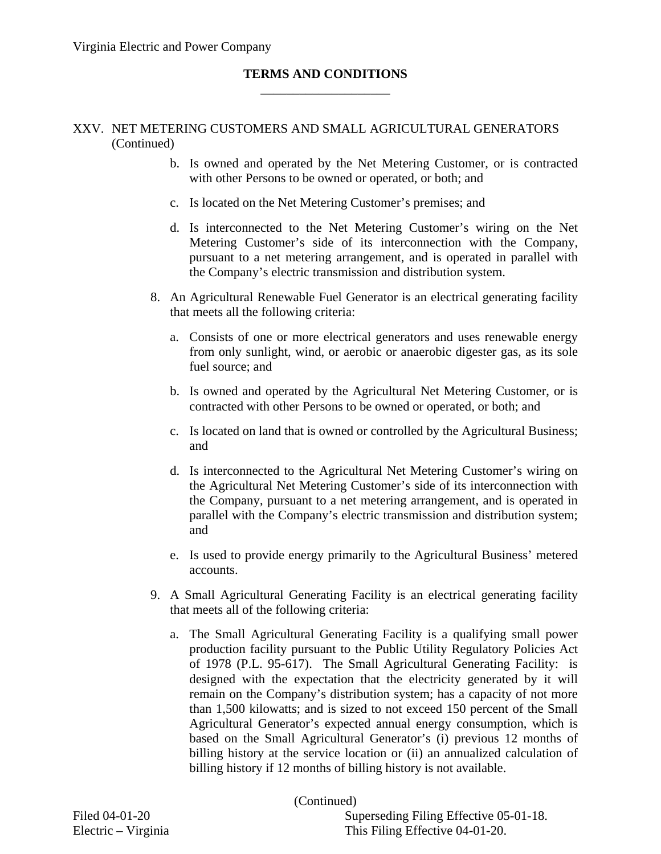## XXV. NET METERING CUSTOMERS AND SMALL AGRICULTURAL GENERATORS (Continued)

- b. Is owned and operated by the Net Metering Customer, or is contracted with other Persons to be owned or operated, or both; and
- c. Is located on the Net Metering Customer's premises; and
- d. Is interconnected to the Net Metering Customer's wiring on the Net Metering Customer's side of its interconnection with the Company, pursuant to a net metering arrangement, and is operated in parallel with the Company's electric transmission and distribution system.
- 8. An Agricultural Renewable Fuel Generator is an electrical generating facility that meets all the following criteria:
	- a. Consists of one or more electrical generators and uses renewable energy from only sunlight, wind, or aerobic or anaerobic digester gas, as its sole fuel source; and
	- b. Is owned and operated by the Agricultural Net Metering Customer, or is contracted with other Persons to be owned or operated, or both; and
	- c. Is located on land that is owned or controlled by the Agricultural Business; and
	- d. Is interconnected to the Agricultural Net Metering Customer's wiring on the Agricultural Net Metering Customer's side of its interconnection with the Company, pursuant to a net metering arrangement, and is operated in parallel with the Company's electric transmission and distribution system; and
	- e. Is used to provide energy primarily to the Agricultural Business' metered accounts.
- 9. A Small Agricultural Generating Facility is an electrical generating facility that meets all of the following criteria:
	- a. The Small Agricultural Generating Facility is a qualifying small power production facility pursuant to the Public Utility Regulatory Policies Act of 1978 (P.L. 95-617). The Small Agricultural Generating Facility: is designed with the expectation that the electricity generated by it will remain on the Company's distribution system; has a capacity of not more than 1,500 kilowatts; and is sized to not exceed 150 percent of the Small Agricultural Generator's expected annual energy consumption, which is based on the Small Agricultural Generator's (i) previous 12 months of billing history at the service location or (ii) an annualized calculation of billing history if 12 months of billing history is not available.

(Continued)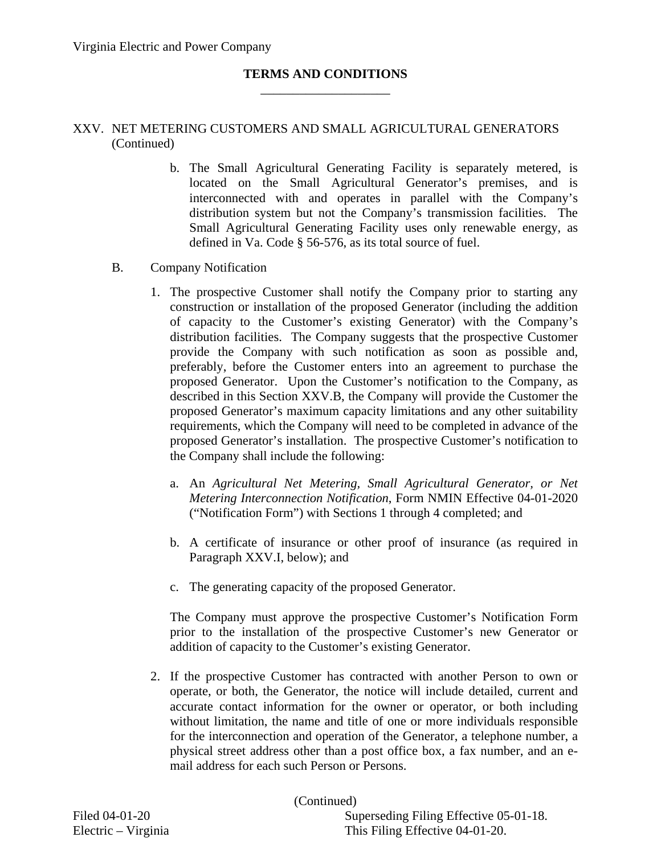## XXV. NET METERING CUSTOMERS AND SMALL AGRICULTURAL GENERATORS (Continued)

- b. The Small Agricultural Generating Facility is separately metered, is located on the Small Agricultural Generator's premises, and is interconnected with and operates in parallel with the Company's distribution system but not the Company's transmission facilities. The Small Agricultural Generating Facility uses only renewable energy, as defined in Va. Code § 56-576, as its total source of fuel.
- B. Company Notification
	- 1. The prospective Customer shall notify the Company prior to starting any construction or installation of the proposed Generator (including the addition of capacity to the Customer's existing Generator) with the Company's distribution facilities. The Company suggests that the prospective Customer provide the Company with such notification as soon as possible and, preferably, before the Customer enters into an agreement to purchase the proposed Generator. Upon the Customer's notification to the Company, as described in this Section XXV.B, the Company will provide the Customer the proposed Generator's maximum capacity limitations and any other suitability requirements, which the Company will need to be completed in advance of the proposed Generator's installation. The prospective Customer's notification to the Company shall include the following:
		- a. An *Agricultural Net Metering, Small Agricultural Generator, or Net Metering Interconnection Notification*, Form NMIN Effective 04-01-2020 ("Notification Form") with Sections 1 through 4 completed; and
		- b. A certificate of insurance or other proof of insurance (as required in Paragraph XXV.I, below); and
		- c. The generating capacity of the proposed Generator.

The Company must approve the prospective Customer's Notification Form prior to the installation of the prospective Customer's new Generator or addition of capacity to the Customer's existing Generator.

2. If the prospective Customer has contracted with another Person to own or operate, or both, the Generator, the notice will include detailed, current and accurate contact information for the owner or operator, or both including without limitation, the name and title of one or more individuals responsible for the interconnection and operation of the Generator, a telephone number, a physical street address other than a post office box, a fax number, and an email address for each such Person or Persons.

(Continued)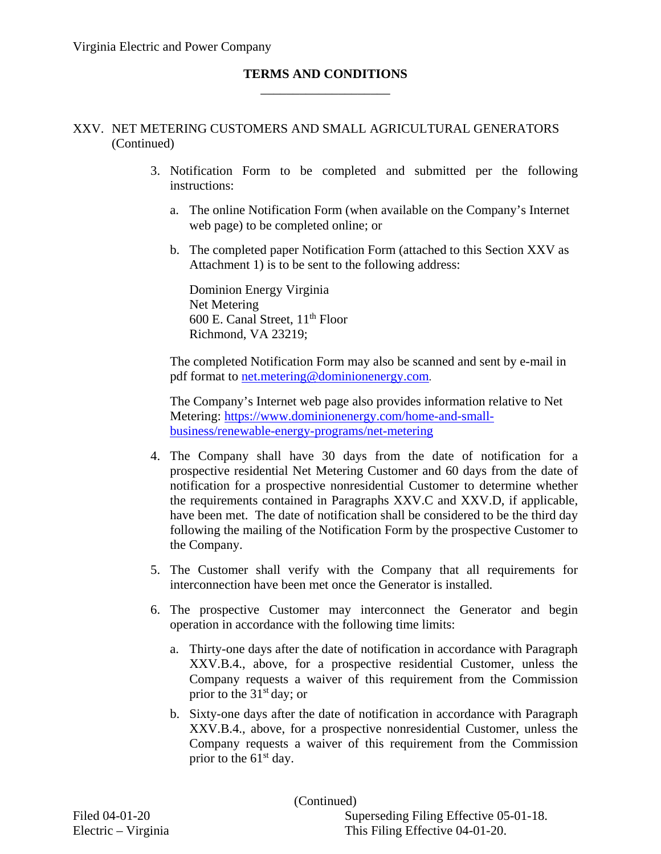## XXV. NET METERING CUSTOMERS AND SMALL AGRICULTURAL GENERATORS (Continued)

- 3. Notification Form to be completed and submitted per the following instructions:
	- a. The online Notification Form (when available on the Company's Internet web page) to be completed online; or
	- b. The completed paper Notification Form (attached to this Section XXV as Attachment 1) is to be sent to the following address:

Dominion Energy Virginia Net Metering 600 E. Canal Street, 11th Floor Richmond, VA 23219;

The completed Notification Form may also be scanned and sent by e-mail in pdf format to [net.metering@dominionenergy.com.](mailto:net.metering@dominionenergy.com) 

The Company's Internet web page also provides information relative to Net Metering: [https://www.dominionenergy.com/home-and-small](https://www.dominionenergy.com/home-and-small-business/renewable-energy-programs/net-metering)[business/renewable-energy-programs/net-metering](https://www.dominionenergy.com/home-and-small-business/renewable-energy-programs/net-metering)

- 4. The Company shall have 30 days from the date of notification for a prospective residential Net Metering Customer and 60 days from the date of notification for a prospective nonresidential Customer to determine whether the requirements contained in Paragraphs XXV.C and XXV.D, if applicable, have been met. The date of notification shall be considered to be the third day following the mailing of the Notification Form by the prospective Customer to the Company.
- 5. The Customer shall verify with the Company that all requirements for interconnection have been met once the Generator is installed.
- 6. The prospective Customer may interconnect the Generator and begin operation in accordance with the following time limits:
	- a. Thirty-one days after the date of notification in accordance with Paragraph XXV.B.4., above, for a prospective residential Customer, unless the Company requests a waiver of this requirement from the Commission prior to the  $31<sup>st</sup>$  day; or
	- b. Sixty-one days after the date of notification in accordance with Paragraph XXV.B.4., above, for a prospective nonresidential Customer, unless the Company requests a waiver of this requirement from the Commission prior to the  $61<sup>st</sup>$  day.

(Continued)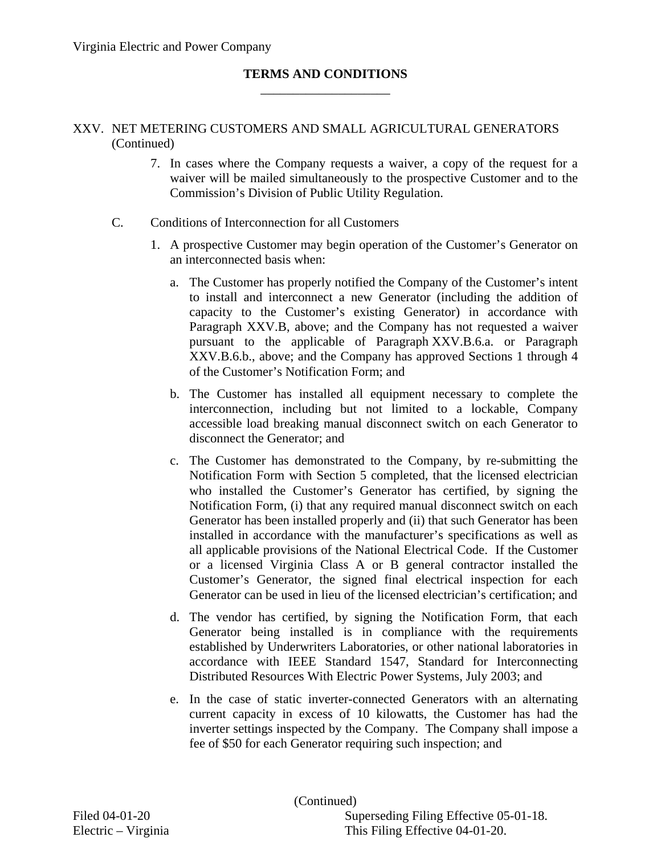## XXV. NET METERING CUSTOMERS AND SMALL AGRICULTURAL GENERATORS (Continued)

- 7. In cases where the Company requests a waiver, a copy of the request for a waiver will be mailed simultaneously to the prospective Customer and to the Commission's Division of Public Utility Regulation.
- C. Conditions of Interconnection for all Customers
	- 1. A prospective Customer may begin operation of the Customer's Generator on an interconnected basis when:
		- a. The Customer has properly notified the Company of the Customer's intent to install and interconnect a new Generator (including the addition of capacity to the Customer's existing Generator) in accordance with Paragraph XXV.B, above; and the Company has not requested a waiver pursuant to the applicable of Paragraph XXV.B.6.a. or Paragraph XXV.B.6.b., above; and the Company has approved Sections 1 through 4 of the Customer's Notification Form; and
		- b. The Customer has installed all equipment necessary to complete the interconnection, including but not limited to a lockable, Company accessible load breaking manual disconnect switch on each Generator to disconnect the Generator; and
		- c. The Customer has demonstrated to the Company, by re-submitting the Notification Form with Section 5 completed, that the licensed electrician who installed the Customer's Generator has certified, by signing the Notification Form, (i) that any required manual disconnect switch on each Generator has been installed properly and (ii) that such Generator has been installed in accordance with the manufacturer's specifications as well as all applicable provisions of the National Electrical Code. If the Customer or a licensed Virginia Class A or B general contractor installed the Customer's Generator, the signed final electrical inspection for each Generator can be used in lieu of the licensed electrician's certification; and
		- d. The vendor has certified, by signing the Notification Form, that each Generator being installed is in compliance with the requirements established by Underwriters Laboratories, or other national laboratories in accordance with IEEE Standard 1547, Standard for Interconnecting Distributed Resources With Electric Power Systems, July 2003; and
		- e. In the case of static inverter-connected Generators with an alternating current capacity in excess of 10 kilowatts, the Customer has had the inverter settings inspected by the Company. The Company shall impose a fee of \$50 for each Generator requiring such inspection; and

(Continued)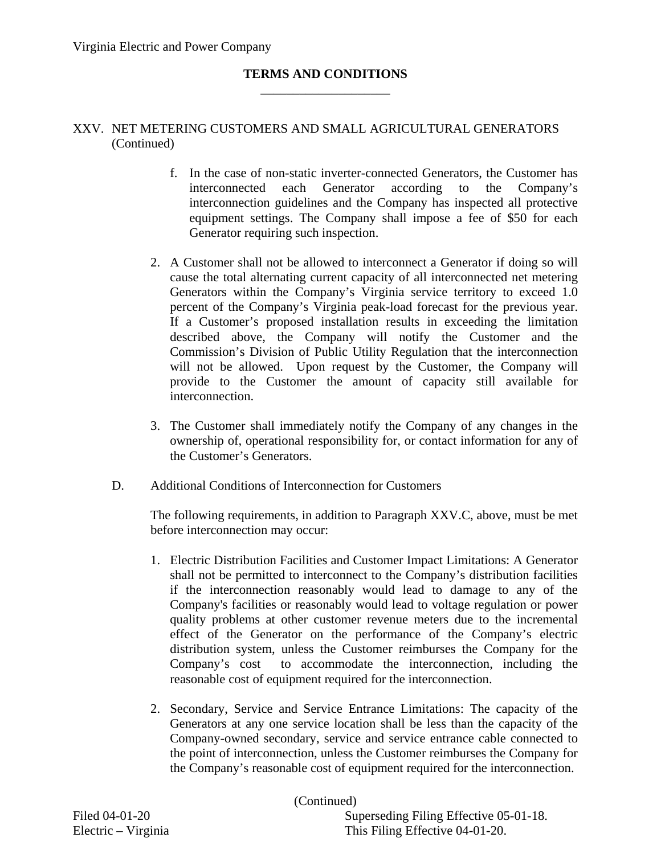## XXV. NET METERING CUSTOMERS AND SMALL AGRICULTURAL GENERATORS (Continued)

- f. In the case of non-static inverter-connected Generators, the Customer has interconnected each Generator according to the Company's interconnection guidelines and the Company has inspected all protective equipment settings. The Company shall impose a fee of \$50 for each Generator requiring such inspection.
- 2. A Customer shall not be allowed to interconnect a Generator if doing so will cause the total alternating current capacity of all interconnected net metering Generators within the Company's Virginia service territory to exceed 1.0 percent of the Company's Virginia peak-load forecast for the previous year. If a Customer's proposed installation results in exceeding the limitation described above, the Company will notify the Customer and the Commission's Division of Public Utility Regulation that the interconnection will not be allowed. Upon request by the Customer, the Company will provide to the Customer the amount of capacity still available for interconnection.
- 3. The Customer shall immediately notify the Company of any changes in the ownership of, operational responsibility for, or contact information for any of the Customer's Generators.
- D. Additional Conditions of Interconnection for Customers

The following requirements, in addition to Paragraph XXV.C, above, must be met before interconnection may occur:

- 1. Electric Distribution Facilities and Customer Impact Limitations: A Generator shall not be permitted to interconnect to the Company's distribution facilities if the interconnection reasonably would lead to damage to any of the Company's facilities or reasonably would lead to voltage regulation or power quality problems at other customer revenue meters due to the incremental effect of the Generator on the performance of the Company's electric distribution system, unless the Customer reimburses the Company for the Company's cost to accommodate the interconnection, including the reasonable cost of equipment required for the interconnection.
- 2. Secondary, Service and Service Entrance Limitations: The capacity of the Generators at any one service location shall be less than the capacity of the Company-owned secondary, service and service entrance cable connected to the point of interconnection, unless the Customer reimburses the Company for the Company's reasonable cost of equipment required for the interconnection.

(Continued)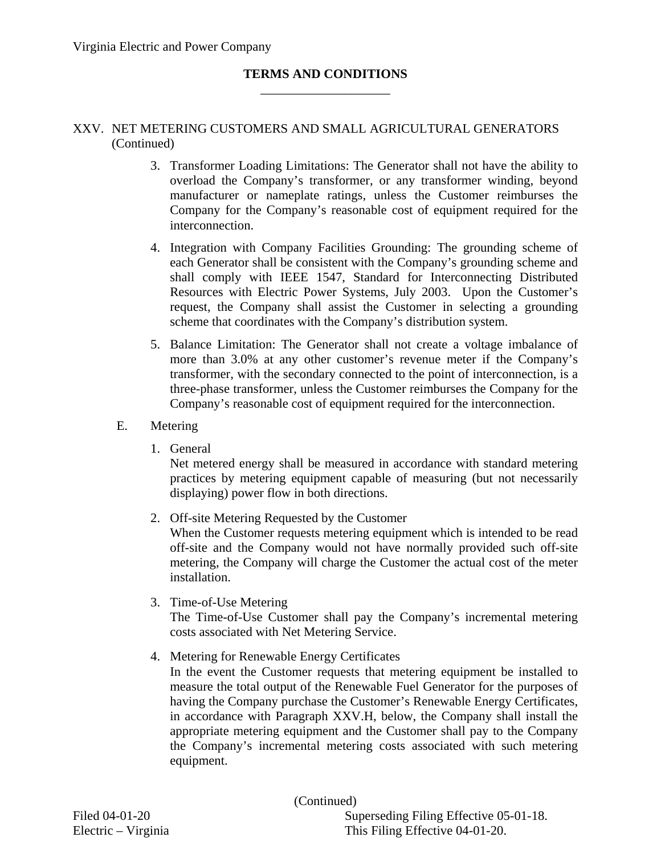## XXV. NET METERING CUSTOMERS AND SMALL AGRICULTURAL GENERATORS (Continued)

- 3. Transformer Loading Limitations: The Generator shall not have the ability to overload the Company's transformer, or any transformer winding, beyond manufacturer or nameplate ratings, unless the Customer reimburses the Company for the Company's reasonable cost of equipment required for the interconnection.
- 4. Integration with Company Facilities Grounding: The grounding scheme of each Generator shall be consistent with the Company's grounding scheme and shall comply with IEEE 1547, Standard for Interconnecting Distributed Resources with Electric Power Systems, July 2003. Upon the Customer's request, the Company shall assist the Customer in selecting a grounding scheme that coordinates with the Company's distribution system.
- 5. Balance Limitation: The Generator shall not create a voltage imbalance of more than 3.0% at any other customer's revenue meter if the Company's transformer, with the secondary connected to the point of interconnection, is a three-phase transformer, unless the Customer reimburses the Company for the Company's reasonable cost of equipment required for the interconnection.
- E. Metering
	- 1. General

Net metered energy shall be measured in accordance with standard metering practices by metering equipment capable of measuring (but not necessarily displaying) power flow in both directions.

- 2. Off-site Metering Requested by the Customer When the Customer requests metering equipment which is intended to be read off-site and the Company would not have normally provided such off-site metering, the Company will charge the Customer the actual cost of the meter installation.
- 3. Time-of-Use Metering The Time-of-Use Customer shall pay the Company's incremental metering costs associated with Net Metering Service.
- 4. Metering for Renewable Energy Certificates In the event the Customer requests that metering equipment be installed to measure the total output of the Renewable Fuel Generator for the purposes of having the Company purchase the Customer's Renewable Energy Certificates, in accordance with Paragraph XXV.H, below, the Company shall install the appropriate metering equipment and the Customer shall pay to the Company the Company's incremental metering costs associated with such metering equipment.

(Continued)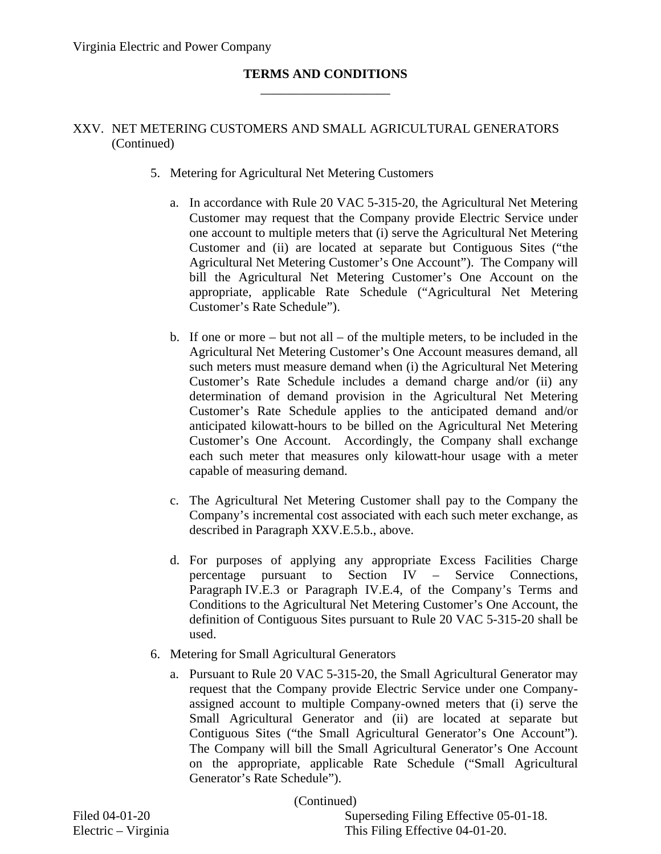## XXV. NET METERING CUSTOMERS AND SMALL AGRICULTURAL GENERATORS (Continued)

- 5. Metering for Agricultural Net Metering Customers
	- a. In accordance with Rule 20 VAC 5-315-20, the Agricultural Net Metering Customer may request that the Company provide Electric Service under one account to multiple meters that (i) serve the Agricultural Net Metering Customer and (ii) are located at separate but Contiguous Sites ("the Agricultural Net Metering Customer's One Account"). The Company will bill the Agricultural Net Metering Customer's One Account on the appropriate, applicable Rate Schedule ("Agricultural Net Metering Customer's Rate Schedule").
	- b. If one or more but not all of the multiple meters, to be included in the Agricultural Net Metering Customer's One Account measures demand, all such meters must measure demand when (i) the Agricultural Net Metering Customer's Rate Schedule includes a demand charge and/or (ii) any determination of demand provision in the Agricultural Net Metering Customer's Rate Schedule applies to the anticipated demand and/or anticipated kilowatt-hours to be billed on the Agricultural Net Metering Customer's One Account. Accordingly, the Company shall exchange each such meter that measures only kilowatt-hour usage with a meter capable of measuring demand.
	- c. The Agricultural Net Metering Customer shall pay to the Company the Company's incremental cost associated with each such meter exchange, as described in Paragraph XXV.E.5.b., above.
	- d. For purposes of applying any appropriate Excess Facilities Charge percentage pursuant to Section IV – Service Connections, Paragraph IV.E.3 or Paragraph IV.E.4, of the Company's Terms and Conditions to the Agricultural Net Metering Customer's One Account, the definition of Contiguous Sites pursuant to Rule 20 VAC 5-315-20 shall be used.
- 6. Metering for Small Agricultural Generators
	- a. Pursuant to Rule 20 VAC 5-315-20, the Small Agricultural Generator may request that the Company provide Electric Service under one Companyassigned account to multiple Company-owned meters that (i) serve the Small Agricultural Generator and (ii) are located at separate but Contiguous Sites ("the Small Agricultural Generator's One Account"). The Company will bill the Small Agricultural Generator's One Account on the appropriate, applicable Rate Schedule ("Small Agricultural Generator's Rate Schedule").

(Continued)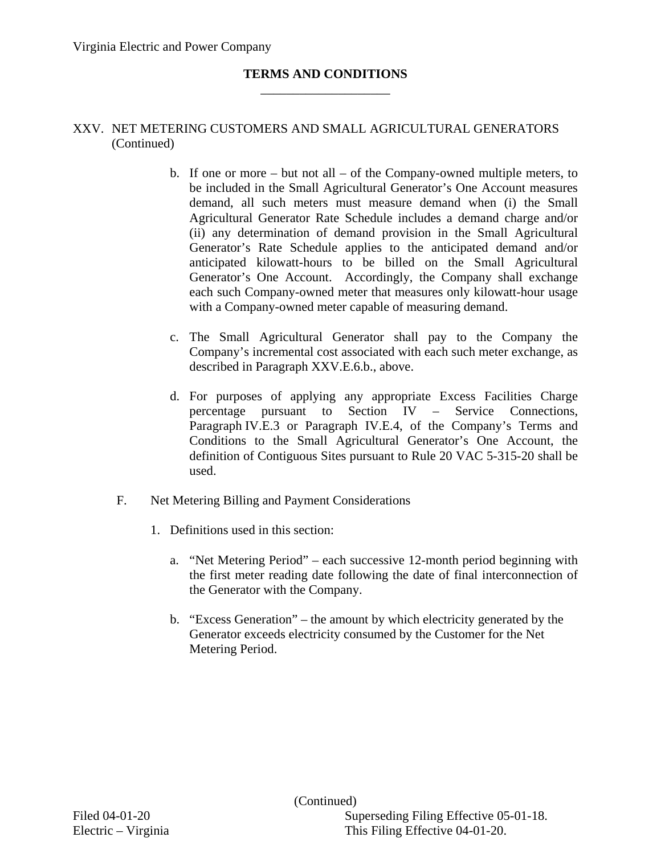# XXV. NET METERING CUSTOMERS AND SMALL AGRICULTURAL GENERATORS (Continued)

- b. If one or more but not all of the Company-owned multiple meters, to be included in the Small Agricultural Generator's One Account measures demand, all such meters must measure demand when (i) the Small Agricultural Generator Rate Schedule includes a demand charge and/or (ii) any determination of demand provision in the Small Agricultural Generator's Rate Schedule applies to the anticipated demand and/or anticipated kilowatt-hours to be billed on the Small Agricultural Generator's One Account. Accordingly, the Company shall exchange each such Company-owned meter that measures only kilowatt-hour usage with a Company-owned meter capable of measuring demand.
- c. The Small Agricultural Generator shall pay to the Company the Company's incremental cost associated with each such meter exchange, as described in Paragraph XXV.E.6.b., above.
- d. For purposes of applying any appropriate Excess Facilities Charge percentage pursuant to Section IV – Service Connections, Paragraph IV.E.3 or Paragraph IV.E.4, of the Company's Terms and Conditions to the Small Agricultural Generator's One Account, the definition of Contiguous Sites pursuant to Rule 20 VAC 5-315-20 shall be used.
- F. Net Metering Billing and Payment Considerations
	- 1. Definitions used in this section:
		- a. "Net Metering Period" each successive 12-month period beginning with the first meter reading date following the date of final interconnection of the Generator with the Company.
		- b. "Excess Generation" the amount by which electricity generated by the Generator exceeds electricity consumed by the Customer for the Net Metering Period.

(Continued)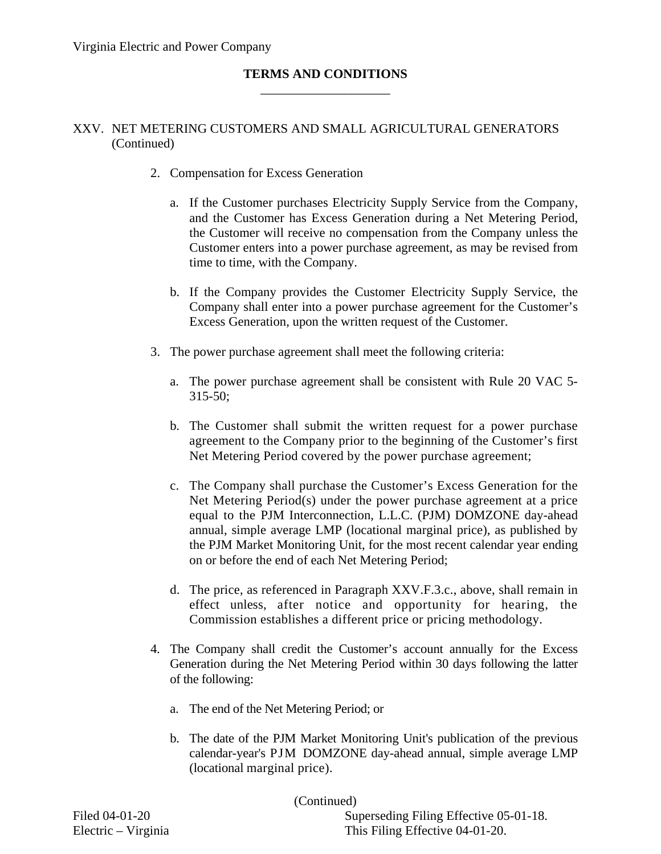## XXV. NET METERING CUSTOMERS AND SMALL AGRICULTURAL GENERATORS (Continued)

- 2. Compensation for Excess Generation
	- a. If the Customer purchases Electricity Supply Service from the Company, and the Customer has Excess Generation during a Net Metering Period, the Customer will receive no compensation from the Company unless the Customer enters into a power purchase agreement, as may be revised from time to time, with the Company.
	- b. If the Company provides the Customer Electricity Supply Service, the Company shall enter into a power purchase agreement for the Customer's Excess Generation, upon the written request of the Customer.
- 3. The power purchase agreement shall meet the following criteria:
	- a. The power purchase agreement shall be consistent with Rule 20 VAC 5- 315-50;
	- b. The Customer shall submit the written request for a power purchase agreement to the Company prior to the beginning of the Customer's first Net Metering Period covered by the power purchase agreement;
	- c. The Company shall purchase the Customer's Excess Generation for the Net Metering Period(s) under the power purchase agreement at a price equal to the PJM Interconnection, L.L.C. (PJM) DOMZONE day-ahead annual, simple average LMP (locational marginal price), as published by the PJM Market Monitoring Unit, for the most recent calendar year ending on or before the end of each Net Metering Period;
	- d. The price, as referenced in Paragraph XXV.F.3.c., above, shall remain in effect unless, after notice and opportunity for hearing, the Commission establishes a different price or pricing methodology.
- 4. The Company shall credit the Customer's account annually for the Excess Generation during the Net Metering Period within 30 days following the latter of the following:
	- a. The end of the Net Metering Period; or
	- b. The date of the PJM Market Monitoring Unit's publication of the previous calendar-year's PJM DOMZONE day-ahead annual, simple average LMP (locational marginal price).

(Continued)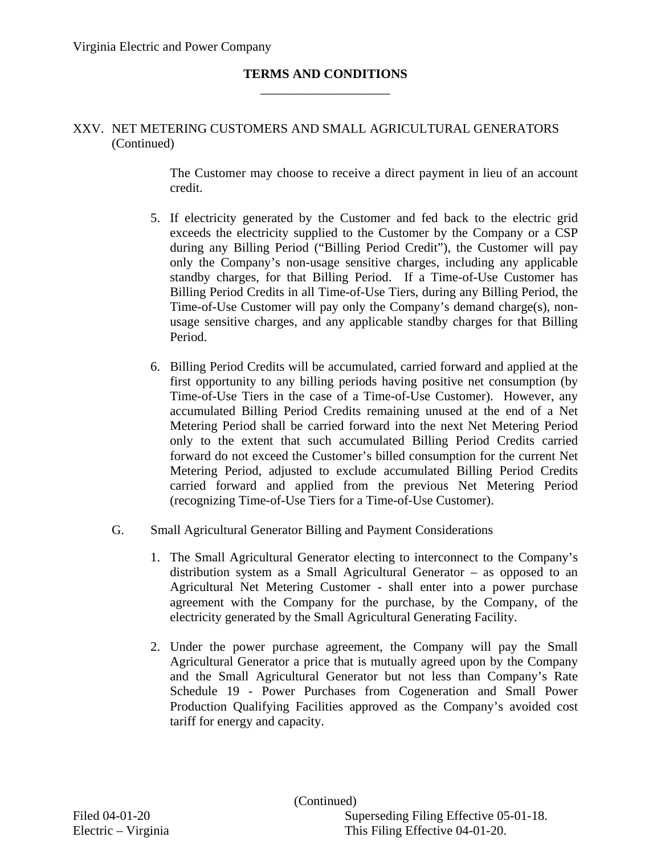## XXV. NET METERING CUSTOMERS AND SMALL AGRICULTURAL GENERATORS (Continued)

The Customer may choose to receive a direct payment in lieu of an account credit.

- 5. If electricity generated by the Customer and fed back to the electric grid exceeds the electricity supplied to the Customer by the Company or a CSP during any Billing Period ("Billing Period Credit"), the Customer will pay only the Company's non-usage sensitive charges, including any applicable standby charges, for that Billing Period. If a Time-of-Use Customer has Billing Period Credits in all Time-of-Use Tiers, during any Billing Period, the Time-of-Use Customer will pay only the Company's demand charge(s), nonusage sensitive charges, and any applicable standby charges for that Billing Period.
- 6. Billing Period Credits will be accumulated, carried forward and applied at the first opportunity to any billing periods having positive net consumption (by Time-of-Use Tiers in the case of a Time-of-Use Customer). However, any accumulated Billing Period Credits remaining unused at the end of a Net Metering Period shall be carried forward into the next Net Metering Period only to the extent that such accumulated Billing Period Credits carried forward do not exceed the Customer's billed consumption for the current Net Metering Period, adjusted to exclude accumulated Billing Period Credits carried forward and applied from the previous Net Metering Period (recognizing Time-of-Use Tiers for a Time-of-Use Customer).
- G. Small Agricultural Generator Billing and Payment Considerations
	- 1. The Small Agricultural Generator electing to interconnect to the Company's distribution system as a Small Agricultural Generator – as opposed to an Agricultural Net Metering Customer - shall enter into a power purchase agreement with the Company for the purchase, by the Company, of the electricity generated by the Small Agricultural Generating Facility.
	- 2. Under the power purchase agreement, the Company will pay the Small Agricultural Generator a price that is mutually agreed upon by the Company and the Small Agricultural Generator but not less than Company's Rate Schedule 19 - Power Purchases from Cogeneration and Small Power Production Qualifying Facilities approved as the Company's avoided cost tariff for energy and capacity.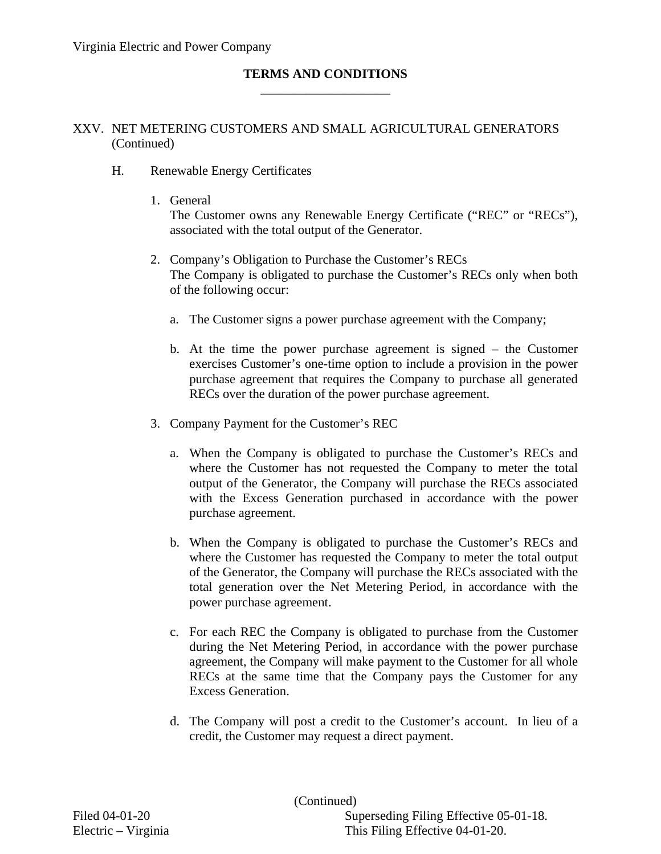## XXV. NET METERING CUSTOMERS AND SMALL AGRICULTURAL GENERATORS (Continued)

- H. Renewable Energy Certificates
	- 1. General

The Customer owns any Renewable Energy Certificate ("REC" or "RECs"), associated with the total output of the Generator.

- 2. Company's Obligation to Purchase the Customer's RECs The Company is obligated to purchase the Customer's RECs only when both of the following occur:
	- a. The Customer signs a power purchase agreement with the Company;
	- b. At the time the power purchase agreement is signed the Customer exercises Customer's one-time option to include a provision in the power purchase agreement that requires the Company to purchase all generated RECs over the duration of the power purchase agreement.
- 3. Company Payment for the Customer's REC
	- a. When the Company is obligated to purchase the Customer's RECs and where the Customer has not requested the Company to meter the total output of the Generator, the Company will purchase the RECs associated with the Excess Generation purchased in accordance with the power purchase agreement.
	- b. When the Company is obligated to purchase the Customer's RECs and where the Customer has requested the Company to meter the total output of the Generator, the Company will purchase the RECs associated with the total generation over the Net Metering Period, in accordance with the power purchase agreement.
	- c. For each REC the Company is obligated to purchase from the Customer during the Net Metering Period, in accordance with the power purchase agreement, the Company will make payment to the Customer for all whole RECs at the same time that the Company pays the Customer for any Excess Generation.
	- d. The Company will post a credit to the Customer's account. In lieu of a credit, the Customer may request a direct payment.

(Continued)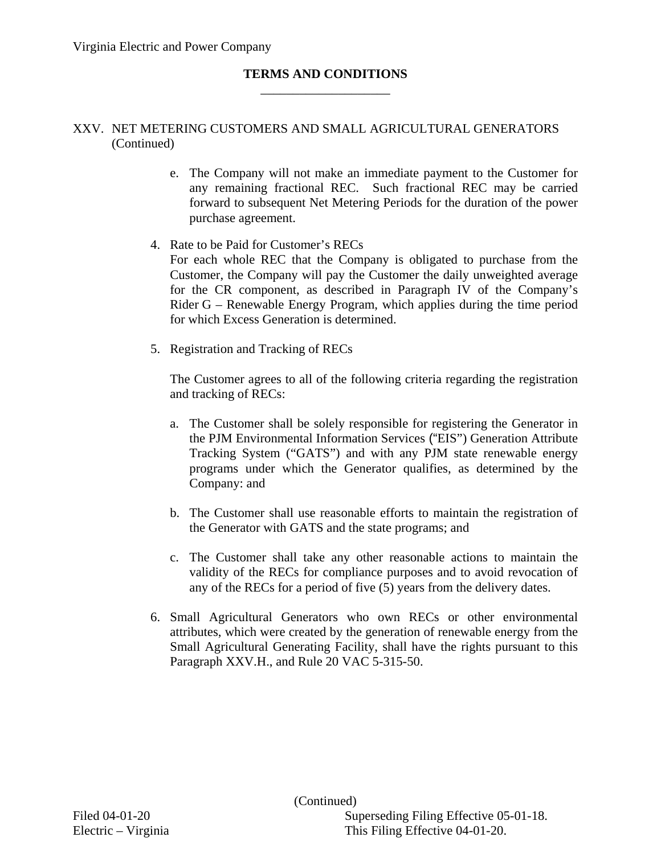## XXV. NET METERING CUSTOMERS AND SMALL AGRICULTURAL GENERATORS (Continued)

- e. The Company will not make an immediate payment to the Customer for any remaining fractional REC. Such fractional REC may be carried forward to subsequent Net Metering Periods for the duration of the power purchase agreement.
- 4. Rate to be Paid for Customer's RECs For each whole REC that the Company is obligated to purchase from the Customer, the Company will pay the Customer the daily unweighted average for the CR component, as described in Paragraph IV of the Company's Rider G – Renewable Energy Program, which applies during the time period for which Excess Generation is determined.
- 5. Registration and Tracking of RECs

The Customer agrees to all of the following criteria regarding the registration and tracking of RECs:

- a. The Customer shall be solely responsible for registering the Generator in the PJM Environmental Information Services ("EIS") Generation Attribute Tracking System ("GATS") and with any PJM state renewable energy programs under which the Generator qualifies, as determined by the Company: and
- b. The Customer shall use reasonable efforts to maintain the registration of the Generator with GATS and the state programs; and
- c. The Customer shall take any other reasonable actions to maintain the validity of the RECs for compliance purposes and to avoid revocation of any of the RECs for a period of five (5) years from the delivery dates.
- 6. Small Agricultural Generators who own RECs or other environmental attributes, which were created by the generation of renewable energy from the Small Agricultural Generating Facility, shall have the rights pursuant to this Paragraph XXV.H., and Rule 20 VAC 5-315-50.

(Continued)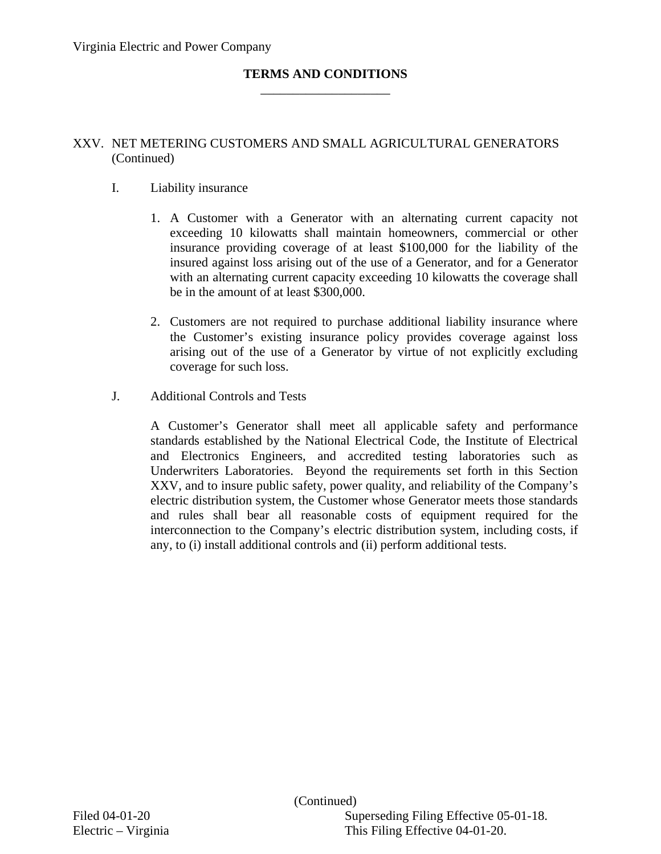#### XXV. NET METERING CUSTOMERS AND SMALL AGRICULTURAL GENERATORS (Continued)

#### I. Liability insurance

- 1. A Customer with a Generator with an alternating current capacity not exceeding 10 kilowatts shall maintain homeowners, commercial or other insurance providing coverage of at least \$100,000 for the liability of the insured against loss arising out of the use of a Generator, and for a Generator with an alternating current capacity exceeding 10 kilowatts the coverage shall be in the amount of at least \$300,000.
- 2. Customers are not required to purchase additional liability insurance where the Customer's existing insurance policy provides coverage against loss arising out of the use of a Generator by virtue of not explicitly excluding coverage for such loss.

#### J. Additional Controls and Tests

A Customer's Generator shall meet all applicable safety and performance standards established by the National Electrical Code, the Institute of Electrical and Electronics Engineers, and accredited testing laboratories such as Underwriters Laboratories. Beyond the requirements set forth in this Section XXV, and to insure public safety, power quality, and reliability of the Company's electric distribution system, the Customer whose Generator meets those standards and rules shall bear all reasonable costs of equipment required for the interconnection to the Company's electric distribution system, including costs, if any, to (i) install additional controls and (ii) perform additional tests.

(Continued)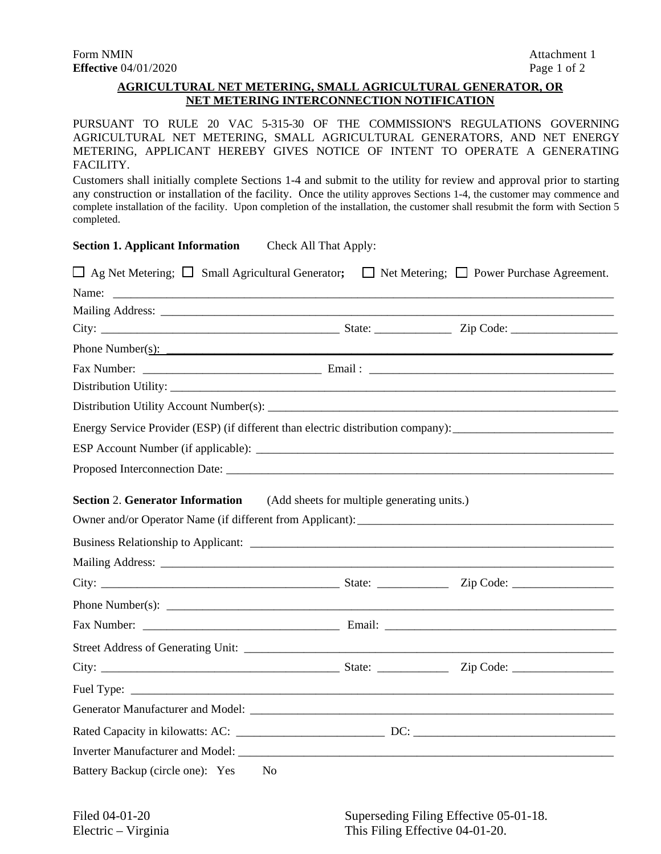#### **AGRICULTURAL NET METERING, SMALL AGRICULTURAL GENERATOR, OR NET METERING INTERCONNECTION NOTIFICATION**

PURSUANT TO RULE 20 VAC 5-315-30 OF THE COMMISSION'S REGULATIONS GOVERNING AGRICULTURAL NET METERING, SMALL AGRICULTURAL GENERATORS, AND NET ENERGY METERING, APPLICANT HEREBY GIVES NOTICE OF INTENT TO OPERATE A GENERATING FACILITY.

Customers shall initially complete Sections 1-4 and submit to the utility for review and approval prior to starting any construction or installation of the facility. Once the utility approves Sections 1-4, the customer may commence and complete installation of the facility. Upon completion of the installation, the customer shall resubmit the form with Section 5 completed.

| <b>Section 1. Applicant Information</b>                                                                                                                                                                                        | Check All That Apply:                       |  |
|--------------------------------------------------------------------------------------------------------------------------------------------------------------------------------------------------------------------------------|---------------------------------------------|--|
| $\Box$ Ag Net Metering; $\Box$ Small Agricultural Generator; $\Box$ Net Metering; $\Box$ Power Purchase Agreement.                                                                                                             |                                             |  |
| Name:                                                                                                                                                                                                                          |                                             |  |
|                                                                                                                                                                                                                                |                                             |  |
|                                                                                                                                                                                                                                |                                             |  |
|                                                                                                                                                                                                                                |                                             |  |
|                                                                                                                                                                                                                                |                                             |  |
| Distribution Utility:                                                                                                                                                                                                          |                                             |  |
|                                                                                                                                                                                                                                |                                             |  |
| Energy Service Provider (ESP) (if different than electric distribution company): _____________________________                                                                                                                 |                                             |  |
|                                                                                                                                                                                                                                |                                             |  |
|                                                                                                                                                                                                                                |                                             |  |
| <b>Section 2. Generator Information</b>                                                                                                                                                                                        | (Add sheets for multiple generating units.) |  |
|                                                                                                                                                                                                                                |                                             |  |
|                                                                                                                                                                                                                                |                                             |  |
| Mailing Address: <u>Denversion and the companion of the companion</u>                                                                                                                                                          |                                             |  |
|                                                                                                                                                                                                                                |                                             |  |
|                                                                                                                                                                                                                                |                                             |  |
|                                                                                                                                                                                                                                |                                             |  |
|                                                                                                                                                                                                                                |                                             |  |
|                                                                                                                                                                                                                                |                                             |  |
|                                                                                                                                                                                                                                |                                             |  |
|                                                                                                                                                                                                                                |                                             |  |
|                                                                                                                                                                                                                                |                                             |  |
| Inverter Manufacturer and Model: New York Contract the Contract of the Contract of the Contract of the Contract of the Contract of the Contract of the Contract of the Contract of the Contract of the Contract of the Contrac |                                             |  |
| Battery Backup (circle one): Yes No                                                                                                                                                                                            |                                             |  |